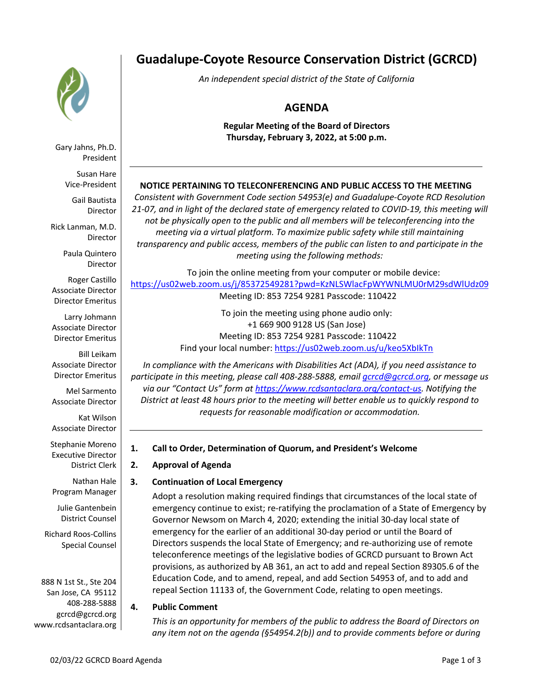

Gary Jahns, Ph.D. President

Susan Hare Vice-President

Gail Bautista Director

Rick Lanman, M.D. Director

> Paula Quintero Director

Roger Castillo Associate Director Director Emeritus

Larry Johmann Associate Director Director Emeritus

Bill Leikam Associate Director Director Emeritus

Mel Sarmento Associate Director

Kat Wilson Associate Director

Stephanie Moreno Executive Director District Clerk

Nathan Hale Program Manager

Julie Gantenbein District Counsel

Richard Roos-Collins Special Counsel

888 N 1st St., Ste 204 San Jose, CA 95112 408-288-5888 gcrcd@gcrcd.org www.rcdsantaclara.org

# **Guadalupe-Coyote Resource Conservation District (GCRCD)**

*An independent special district of the State of California*

# **AGENDA**

**Regular Meeting of the Board of Directors Thursday, February 3, 2022, at 5:00 p.m.**

# **NOTICE PERTAINING TO TELECONFERENCING AND PUBLIC ACCESS TO THE MEETING**

*Consistent with Government Code section 54953(e) and Guadalupe-Coyote RCD Resolution 21-07, and in light of the declared state of emergency related to COVID-19, this meeting will not be physically open to the public and all members will be teleconferencing into the meeting via a virtual platform. To maximize public safety while still maintaining transparency and public access, members of the public can listen to and participate in the meeting using the following methods:* 

To join the online meeting from your computer or mobile device: https://us02web.zoom.us/j/85372549281?pwd=KzNLSWlacFpWYWNLMU0rM29sdWlUdz09 Meeting ID: 853 7254 9281 Passcode: 110422

> To join the meeting using phone audio only: +1 669 900 9128 US (San Jose) Meeting ID: 853 7254 9281 Passcode: 110422 Find your local number: https://us02web.zoom.us/u/keo5XbIkTn

*In compliance with the Americans with Disabilities Act (ADA), if you need assistance to participate in this meeting, please call 408-288-5888, email gcrcd@gcrcd.org, or message us via our "Contact Us" form at https://www.rcdsantaclara.org/contact-us. Notifying the District at least 48 hours prior to the meeting will better enable us to quickly respond to requests for reasonable modification or accommodation.*

# **1. Call to Order, Determination of Quorum, and President's Welcome**

# **2. Approval of Agenda**

# **3. Continuation of Local Emergency**

Adopt a resolution making required findings that circumstances of the local state of emergency continue to exist; re-ratifying the proclamation of a State of Emergency by Governor Newsom on March 4, 2020; extending the initial 30-day local state of emergency for the earlier of an additional 30-day period or until the Board of Directors suspends the local State of Emergency; and re-authorizing use of remote teleconference meetings of the legislative bodies of GCRCD pursuant to Brown Act provisions, as authorized by AB 361, an act to add and repeal Section 89305.6 of the Education Code, and to amend, repeal, and add Section 54953 of, and to add and repeal Section 11133 of, the Government Code, relating to open meetings.

# **4. Public Comment**

*This is an opportunity for members of the public to address the Board of Directors on any item not on the agenda (§54954.2(b)) and to provide comments before or during*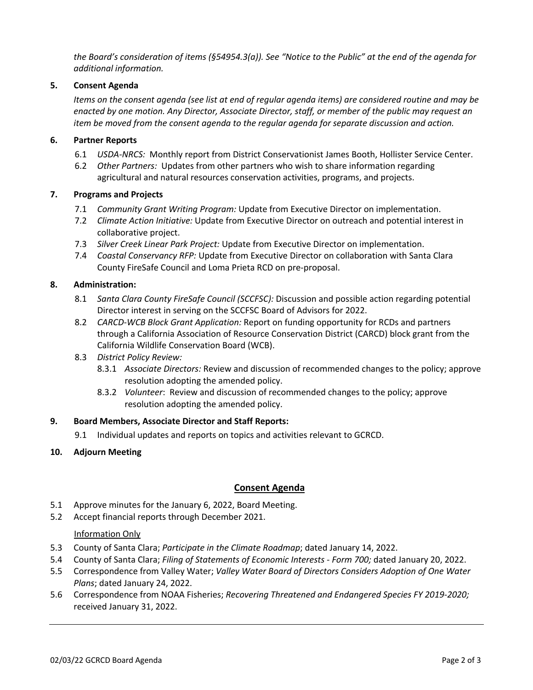*the Board's consideration of items (§54954.3(a)). See "Notice to the Public" at the end of the agenda for additional information.*

#### **5. Consent Agenda**

*Items on the consent agenda (see list at end of regular agenda items) are considered routine and may be enacted by one motion. Any Director, Associate Director, staff, or member of the public may request an item be moved from the consent agenda to the regular agenda for separate discussion and action.*

#### **6. Partner Reports**

- 6.1 *USDA-NRCS:* Monthly report from District Conservationist James Booth, Hollister Service Center.
- 6.2 *Other Partners:* Updates from other partners who wish to share information regarding agricultural and natural resources conservation activities, programs, and projects.

#### **7. Programs and Projects**

- 7.1 *Community Grant Writing Program:* Update from Executive Director on implementation.
- 7.2 *Climate Action Initiative:* Update from Executive Director on outreach and potential interest in collaborative project.
- 7.3 *Silver Creek Linear Park Project:* Update from Executive Director on implementation.
- 7.4 *Coastal Conservancy RFP:* Update from Executive Director on collaboration with Santa Clara County FireSafe Council and Loma Prieta RCD on pre-proposal.

#### **8. Administration:**

- 8.1 *Santa Clara County FireSafe Council (SCCFSC):* Discussion and possible action regarding potential Director interest in serving on the SCCFSC Board of Advisors for 2022.
- 8.2 *CARCD-WCB Block Grant Application:* Report on funding opportunity for RCDs and partners through a California Association of Resource Conservation District (CARCD) block grant from the California Wildlife Conservation Board (WCB).
- 8.3 *District Policy Review:*
	- 8.3.1 *Associate Directors:* Review and discussion of recommended changes to the policy; approve resolution adopting the amended policy.
	- 8.3.2 *Volunteer*: Review and discussion of recommended changes to the policy; approve resolution adopting the amended policy.

#### **9. Board Members, Associate Director and Staff Reports:**

9.1 Individual updates and reports on topics and activities relevant to GCRCD.

#### **10. Adjourn Meeting**

# **Consent Agenda**

- 5.1 Approve minutes for the January 6, 2022, Board Meeting.
- 5.2 Accept financial reports through December 2021.

#### **Information Only**

- 5.3 County of Santa Clara; *Participate in the Climate Roadmap*; dated January 14, 2022.
- 5.4 County of Santa Clara; *Filing of Statements of Economic Interests - Form 700;* dated January 20, 2022.
- 5.5 Correspondence from Valley Water; *Valley Water Board of Directors Considers Adoption of One Water Plans*; dated January 24, 2022.
- 5.6 Correspondence from NOAA Fisheries; *Recovering Threatened and Endangered Species FY 2019-2020;*  received January 31, 2022.